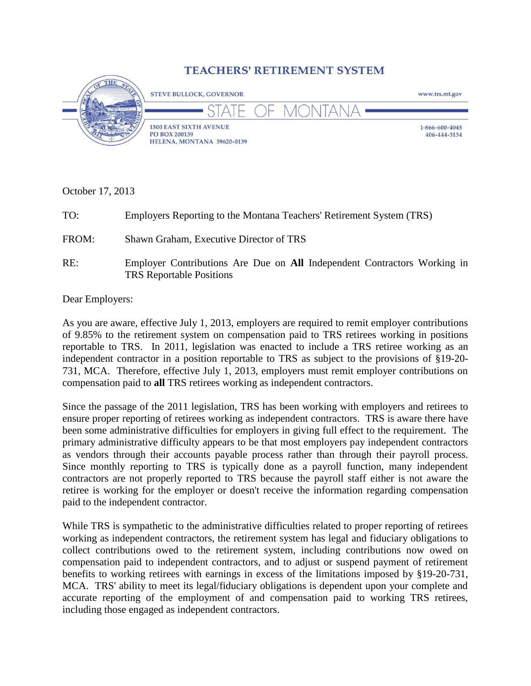## **TEACHERS' RETIREMENT SYSTEM**



October 17, 2013

| TO:   | Employers Reporting to the Montana Teachers' Retirement System (TRS)     |
|-------|--------------------------------------------------------------------------|
| FROM: | Shawn Graham, Executive Director of TRS                                  |
| RE:   | Employer Contributions Are Due on All Independent Contractors Working in |

TRS Reportable Positions

Dear Employers:

As you are aware, effective July 1, 2013, employers are required to remit employer contributions of 9.85% to the retirement system on compensation paid to TRS retirees working in positions reportable to TRS. In 2011, legislation was enacted to include a TRS retiree working as an independent contractor in a position reportable to TRS as subject to the provisions of §19-20- 731, MCA. Therefore, effective July 1, 2013, employers must remit employer contributions on compensation paid to **all** TRS retirees working as independent contractors.

Since the passage of the 2011 legislation, TRS has been working with employers and retirees to ensure proper reporting of retirees working as independent contractors. TRS is aware there have been some administrative difficulties for employers in giving full effect to the requirement. The primary administrative difficulty appears to be that most employers pay independent contractors as vendors through their accounts payable process rather than through their payroll process. Since monthly reporting to TRS is typically done as a payroll function, many independent contractors are not properly reported to TRS because the payroll staff either is not aware the retiree is working for the employer or doesn't receive the information regarding compensation paid to the independent contractor.

While TRS is sympathetic to the administrative difficulties related to proper reporting of retirees working as independent contractors, the retirement system has legal and fiduciary obligations to collect contributions owed to the retirement system, including contributions now owed on compensation paid to independent contractors, and to adjust or suspend payment of retirement benefits to working retirees with earnings in excess of the limitations imposed by §19-20-731, MCA. TRS' ability to meet its legal/fiduciary obligations is dependent upon your complete and accurate reporting of the employment of and compensation paid to working TRS retirees, including those engaged as independent contractors.